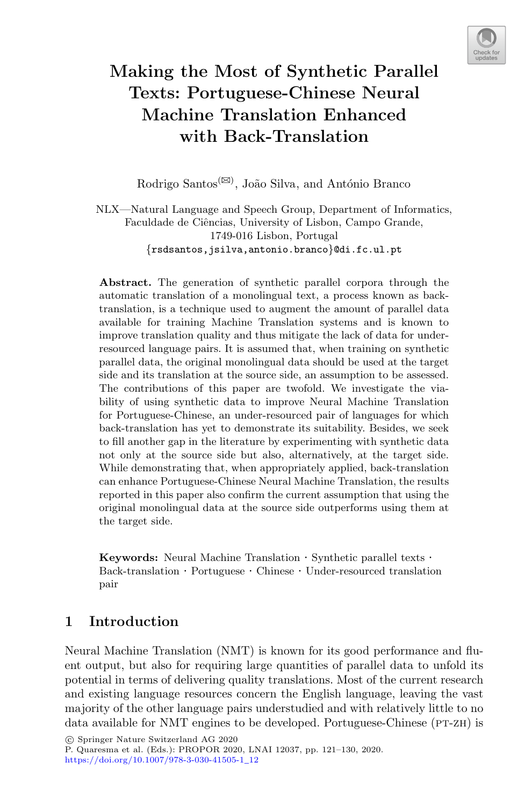

# **Making the Most of Synthetic Parallel Texts: Portuguese-Chinese Neural Machine Translation Enhanced with Back-Translation**

Rodrigo Santos<sup>( $\boxtimes$ )</sup>, João Silva, and António Branco

NLX—Natural Language and Speech Group, Department of Informatics, Faculdade de Ciências, University of Lisbon, Campo Grande, 1749-016 Lisbon, Portugal {rsdsantos,jsilva,antonio.branco}@di.fc.ul.pt

**Abstract.** The generation of synthetic parallel corpora through the automatic translation of a monolingual text, a process known as backtranslation, is a technique used to augment the amount of parallel data available for training Machine Translation systems and is known to improve translation quality and thus mitigate the lack of data for underresourced language pairs. It is assumed that, when training on synthetic parallel data, the original monolingual data should be used at the target side and its translation at the source side, an assumption to be assessed. The contributions of this paper are twofold. We investigate the viability of using synthetic data to improve Neural Machine Translation for Portuguese-Chinese, an under-resourced pair of languages for which back-translation has yet to demonstrate its suitability. Besides, we seek to fill another gap in the literature by experimenting with synthetic data not only at the source side but also, alternatively, at the target side. While demonstrating that, when appropriately applied, back-translation can enhance Portuguese-Chinese Neural Machine Translation, the results reported in this paper also confirm the current assumption that using the original monolingual data at the source side outperforms using them at the target side.

**Keywords:** Neural Machine Translation · Synthetic parallel texts · Back-translation · Portuguese · Chinese · Under-resourced translation pair

## **1 Introduction**

Neural Machine Translation (NMT) is known for its good performance and fluent output, but also for requiring large quantities of parallel data to unfold its potential in terms of delivering quality translations. Most of the current research and existing language resources concern the English language, leaving the vast majority of the other language pairs understudied and with relatively little to no data available for NMT engines to be developed. Portuguese-Chinese (pt-zh) is

-c Springer Nature Switzerland AG 2020

P. Quaresma et al. (Eds.): PROPOR 2020, LNAI 12037, pp. 121–130, 2020. [https://doi.org/10.1007/978-3-030-41505-1](https://doi.org/10.1007/978-3-030-41505-1_12)\_12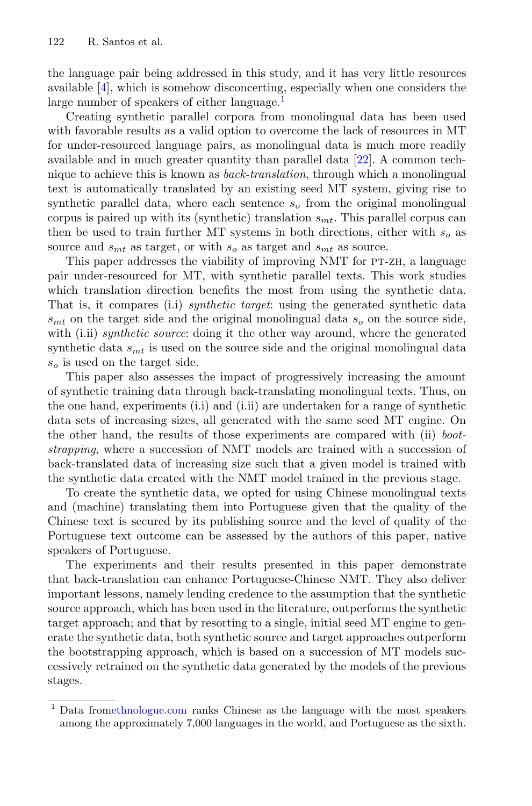the language pair being addressed in this study, and it has very little resources available [\[4\]](#page-8-0), which is somehow disconcerting, especially when one considers the large number of speakers of either language.<sup>[1](#page-1-0)</sup>

Creating synthetic parallel corpora from monolingual data has been used with favorable results as a valid option to overcome the lack of resources in MT for under-resourced language pairs, as monolingual data is much more readily available and in much greater quantity than parallel data [\[22\]](#page-9-0). A common technique to achieve this is known as *back-translation*, through which a monolingual text is automatically translated by an existing seed MT system, giving rise to synthetic parallel data, where each sentence *s<sup>o</sup>* from the original monolingual corpus is paired up with its (synthetic) translation *smt*. This parallel corpus can then be used to train further MT systems in both directions, either with *s<sup>o</sup>* as source and *smt* as target, or with *s<sup>o</sup>* as target and *smt* as source.

This paper addresses the viability of improving NMT for PT-ZH, a language pair under-resourced for MT, with synthetic parallel texts. This work studies which translation direction benefits the most from using the synthetic data. That is, it compares (i.i) *synthetic target*: using the generated synthetic data  $s<sub>mt</sub>$  on the target side and the original monolingual data  $s<sub>o</sub>$  on the source side, with (i.ii) *synthetic source*: doing it the other way around, where the generated synthetic data *smt* is used on the source side and the original monolingual data *s<sup>o</sup>* is used on the target side.

This paper also assesses the impact of progressively increasing the amount of synthetic training data through back-translating monolingual texts. Thus, on the one hand, experiments (i.i) and (i.ii) are undertaken for a range of synthetic data sets of increasing sizes, all generated with the same seed MT engine. On the other hand, the results of those experiments are compared with (ii) *bootstrapping*, where a succession of NMT models are trained with a succession of back-translated data of increasing size such that a given model is trained with the synthetic data created with the NMT model trained in the previous stage.

To create the synthetic data, we opted for using Chinese monolingual texts and (machine) translating them into Portuguese given that the quality of the Chinese text is secured by its publishing source and the level of quality of the Portuguese text outcome can be assessed by the authors of this paper, native speakers of Portuguese.

The experiments and their results presented in this paper demonstrate that back-translation can enhance Portuguese-Chinese NMT. They also deliver important lessons, namely lending credence to the assumption that the synthetic source approach, which has been used in the literature, outperforms the synthetic target approach; and that by resorting to a single, initial seed MT engine to generate the synthetic data, both synthetic source and target approaches outperform the bootstrapping approach, which is based on a succession of MT models successively retrained on the synthetic data generated by the models of the previous stages.

<span id="page-1-0"></span><sup>&</sup>lt;sup>1</sup> Data fro[methnologue.com](http://www.ethnologue.com) ranks Chinese as the language with the most speakers among the approximately 7,000 languages in the world, and Portuguese as the sixth.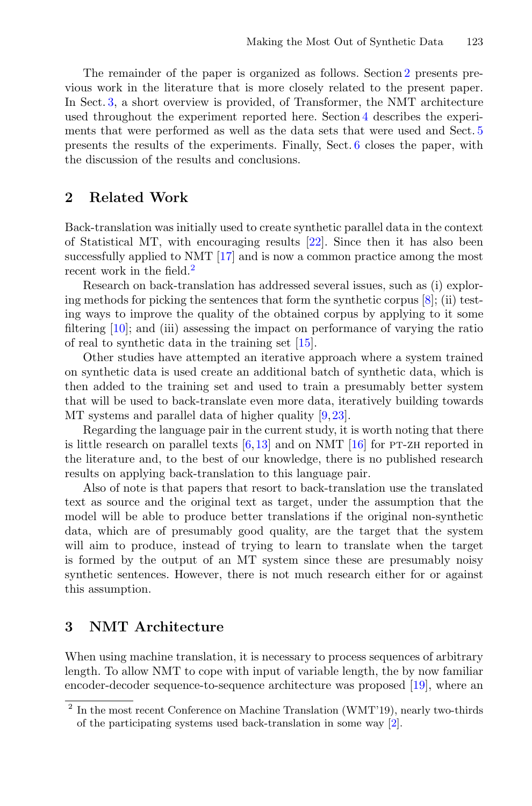The remainder of the paper is organized as follows. Section [2](#page-2-0) presents previous work in the literature that is more closely related to the present paper. In Sect. [3,](#page-2-1) a short overview is provided, of Transformer, the NMT architecture used throughout the experiment reported here. Section [4](#page-3-0) describes the experiments that were performed as well as the data sets that were used and Sect. [5](#page-6-0) presents the results of the experiments. Finally, Sect. [6](#page-7-0) closes the paper, with the discussion of the results and conclusions.

### <span id="page-2-0"></span>**2 Related Work**

Back-translation was initially used to create synthetic parallel data in the context of Statistical MT, with encouraging results [\[22](#page-9-0)]. Since then it has also been successfully applied to NMT [\[17\]](#page-9-1) and is now a common practice among the most recent work in the field.<sup>[2](#page-2-2)</sup>

Research on back-translation has addressed several issues, such as (i) exploring methods for picking the sentences that form the synthetic corpus  $[8]$  $[8]$ ; (ii) testing ways to improve the quality of the obtained corpus by applying to it some filtering [\[10](#page-8-2)]; and (iii) assessing the impact on performance of varying the ratio of real to synthetic data in the training set [\[15\]](#page-9-2).

Other studies have attempted an iterative approach where a system trained on synthetic data is used create an additional batch of synthetic data, which is then added to the training set and used to train a presumably better system that will be used to back-translate even more data, iteratively building towards MT systems and parallel data of higher quality [\[9,](#page-8-3)[23](#page-9-3)].

Regarding the language pair in the current study, it is worth noting that there is little research on parallel texts  $[6,13]$  $[6,13]$  $[6,13]$  and on NMT  $[16]$  $[16]$  for PT-ZH reported in the literature and, to the best of our knowledge, there is no published research results on applying back-translation to this language pair.

Also of note is that papers that resort to back-translation use the translated text as source and the original text as target, under the assumption that the model will be able to produce better translations if the original non-synthetic data, which are of presumably good quality, are the target that the system will aim to produce, instead of trying to learn to translate when the target is formed by the output of an MT system since these are presumably noisy synthetic sentences. However, there is not much research either for or against this assumption.

### <span id="page-2-1"></span>**3 NMT Architecture**

When using machine translation, it is necessary to process sequences of arbitrary length. To allow NMT to cope with input of variable length, the by now familiar encoder-decoder sequence-to-sequence architecture was proposed [\[19](#page-9-6)], where an

<span id="page-2-2"></span><sup>2</sup> In the most recent Conference on Machine Translation (WMT'19), nearly two-thirds of the participating systems used back-translation in some way [\[2\]](#page-8-5).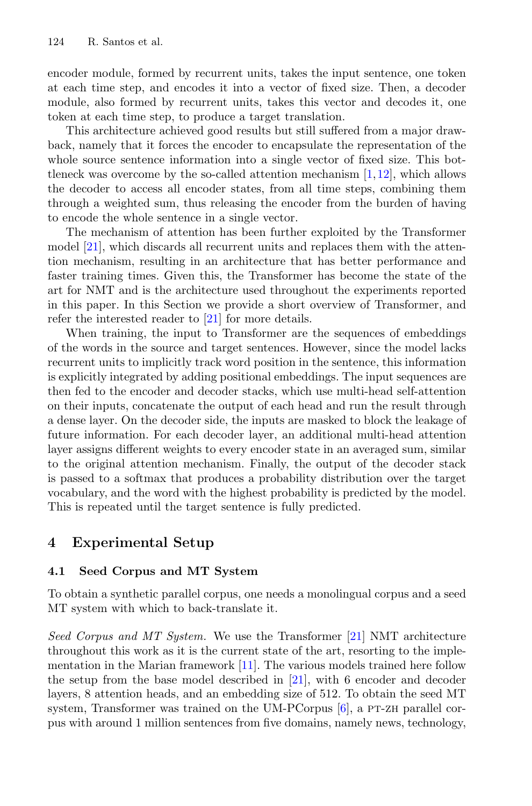encoder module, formed by recurrent units, takes the input sentence, one token at each time step, and encodes it into a vector of fixed size. Then, a decoder module, also formed by recurrent units, takes this vector and decodes it, one token at each time step, to produce a target translation.

This architecture achieved good results but still suffered from a major drawback, namely that it forces the encoder to encapsulate the representation of the whole source sentence information into a single vector of fixed size. This bottleneck was overcome by the so-called attention mechanism  $[1,12]$  $[1,12]$  $[1,12]$ , which allows the decoder to access all encoder states, from all time steps, combining them through a weighted sum, thus releasing the encoder from the burden of having to encode the whole sentence in a single vector.

The mechanism of attention has been further exploited by the Transformer model [\[21\]](#page-9-8), which discards all recurrent units and replaces them with the attention mechanism, resulting in an architecture that has better performance and faster training times. Given this, the Transformer has become the state of the art for NMT and is the architecture used throughout the experiments reported in this paper. In this Section we provide a short overview of Transformer, and refer the interested reader to [\[21\]](#page-9-8) for more details.

When training, the input to Transformer are the sequences of embeddings of the words in the source and target sentences. However, since the model lacks recurrent units to implicitly track word position in the sentence, this information is explicitly integrated by adding positional embeddings. The input sequences are then fed to the encoder and decoder stacks, which use multi-head self-attention on their inputs, concatenate the output of each head and run the result through a dense layer. On the decoder side, the inputs are masked to block the leakage of future information. For each decoder layer, an additional multi-head attention layer assigns different weights to every encoder state in an averaged sum, similar to the original attention mechanism. Finally, the output of the decoder stack is passed to a softmax that produces a probability distribution over the target vocabulary, and the word with the highest probability is predicted by the model. This is repeated until the target sentence is fully predicted.

## <span id="page-3-0"></span>**4 Experimental Setup**

### **4.1 Seed Corpus and MT System**

To obtain a synthetic parallel corpus, one needs a monolingual corpus and a seed MT system with which to back-translate it.

*Seed Corpus and MT System.* We use the Transformer [\[21](#page-9-8)] NMT architecture throughout this work as it is the current state of the art, resorting to the implementation in the Marian framework [\[11\]](#page-8-7). The various models trained here follow the setup from the base model described in [\[21](#page-9-8)], with 6 encoder and decoder layers, 8 attention heads, and an embedding size of 512. To obtain the seed MT system, Transformer was trained on the UM-PCorpus  $[6]$  $[6]$ , a PT-ZH parallel corpus with around 1 million sentences from five domains, namely news, technology,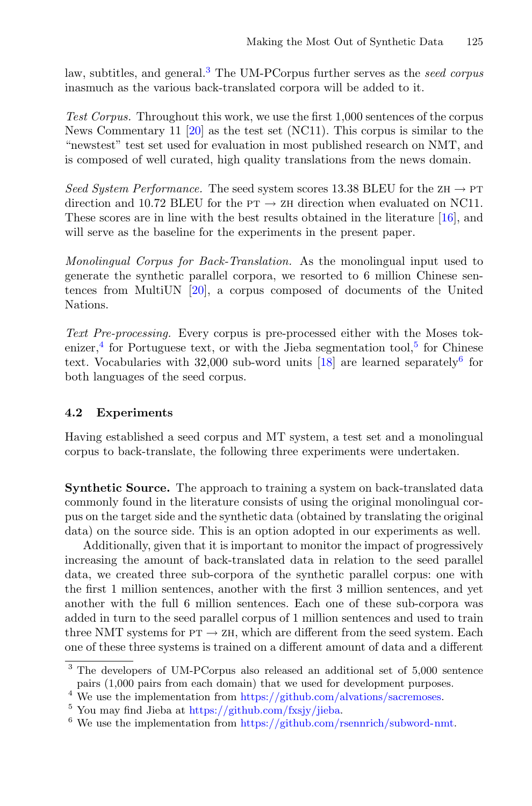law, subtitles, and general.[3](#page-4-0) The UM-PCorpus further serves as the *seed corpus* inasmuch as the various back-translated corpora will be added to it.

*Test Corpus.* Throughout this work, we use the first 1,000 sentences of the corpus News Commentary 11 [\[20](#page-9-9)] as the test set (NC11). This corpus is similar to the "newstest" test set used for evaluation in most published research on NMT, and is composed of well curated, high quality translations from the news domain.

*Seed System Performance.* The seed system scores 13.38 BLEU for the  $ZH \rightarrow PT$ direction and 10.72 BLEU for the  $PT \rightarrow ZH$  direction when evaluated on NC11. These scores are in line with the best results obtained in the literature [\[16\]](#page-9-5), and will serve as the baseline for the experiments in the present paper.

*Monolingual Corpus for Back-Translation.* As the monolingual input used to generate the synthetic parallel corpora, we resorted to 6 million Chinese sentences from MultiUN [\[20\]](#page-9-9), a corpus composed of documents of the United Nations.

*Text Pre-processing.* Every corpus is pre-processed either with the Moses tok-enizer,<sup>[4](#page-4-1)</sup> for Portuguese text, or with the Jieba segmentation tool,<sup>[5](#page-4-2)</sup> for Chinese text. Vocabularies with 32,000 sub-word units  $[18]$  are learned separately<sup>[6](#page-4-3)</sup> for both languages of the seed corpus.

### **4.2 Experiments**

Having established a seed corpus and MT system, a test set and a monolingual corpus to back-translate, the following three experiments were undertaken.

**Synthetic Source.** The approach to training a system on back-translated data commonly found in the literature consists of using the original monolingual corpus on the target side and the synthetic data (obtained by translating the original data) on the source side. This is an option adopted in our experiments as well.

Additionally, given that it is important to monitor the impact of progressively increasing the amount of back-translated data in relation to the seed parallel data, we created three sub-corpora of the synthetic parallel corpus: one with the first 1 million sentences, another with the first 3 million sentences, and yet another with the full 6 million sentences. Each one of these sub-corpora was added in turn to the seed parallel corpus of 1 million sentences and used to train three NMT systems for  $PT \rightarrow ZH$ , which are different from the seed system. Each one of these three systems is trained on a different amount of data and a different

<span id="page-4-0"></span><sup>3</sup> The developers of UM-PCorpus also released an additional set of 5,000 sentence pairs (1,000 pairs from each domain) that we used for development purposes.

<span id="page-4-1"></span> $^4$  We use the implementation from [https://github.com/alvations/sacremoses.](https://github.com/alvations/sacremoses)

<span id="page-4-2"></span><sup>5</sup> You may find Jieba at [https://github.com/fxsjy/jieba.](https://github.com/fxsjy/jieba)

<span id="page-4-3"></span> $6$  We use the implementation from [https://github.com/rsennrich/subword-nmt.](https://github.com/rsennrich/subword-nmt)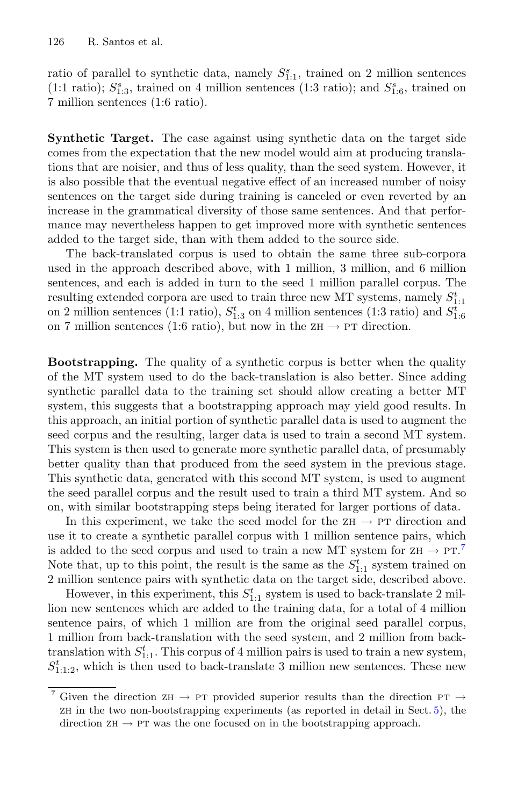ratio of parallel to synthetic data, namely  $S_{1:1}^s$ , trained on 2 million sentences (1:1 ratio);  $S_{1:3}^s$ , trained on 4 million sentences (1:3 ratio); and  $S_{1:6}^s$ , trained on 7 million sentences (1:6 ratio).

**Synthetic Target.** The case against using synthetic data on the target side comes from the expectation that the new model would aim at producing translations that are noisier, and thus of less quality, than the seed system. However, it is also possible that the eventual negative effect of an increased number of noisy sentences on the target side during training is canceled or even reverted by an increase in the grammatical diversity of those same sentences. And that performance may nevertheless happen to get improved more with synthetic sentences added to the target side, than with them added to the source side.

The back-translated corpus is used to obtain the same three sub-corpora used in the approach described above, with 1 million, 3 million, and 6 million sentences, and each is added in turn to the seed 1 million parallel corpus. The resulting extended corpora are used to train three new MT systems, namely  $S^t_{1:1}$ on 2 million sentences (1:1 ratio),  $S^t_{1:3}$  on 4 million sentences (1:3 ratio) and  $S^t_{1:6}$ on 7 million sentences (1:6 ratio), but now in the  $ZH \rightarrow PT$  direction.

**Bootstrapping.** The quality of a synthetic corpus is better when the quality of the MT system used to do the back-translation is also better. Since adding synthetic parallel data to the training set should allow creating a better MT system, this suggests that a bootstrapping approach may yield good results. In this approach, an initial portion of synthetic parallel data is used to augment the seed corpus and the resulting, larger data is used to train a second MT system. This system is then used to generate more synthetic parallel data, of presumably better quality than that produced from the seed system in the previous stage. This synthetic data, generated with this second MT system, is used to augment the seed parallel corpus and the result used to train a third MT system. And so on, with similar bootstrapping steps being iterated for larger portions of data.

In this experiment, we take the seed model for the  $ZH \rightarrow PT$  direction and use it to create a synthetic parallel corpus with 1 million sentence pairs, which is added to the seed corpus and used to train a new MT system for  $ZH \rightarrow PT$ .<sup>[7](#page-5-0)</sup> Note that, up to this point, the result is the same as the  $S_{1:1}^t$  system trained on 2 million sentence pairs with synthetic data on the target side, described above.

However, in this experiment, this  $S^t_{1:1}$  system is used to back-translate 2 million new sentences which are added to the training data, for a total of 4 million sentence pairs, of which 1 million are from the original seed parallel corpus, 1 million from back-translation with the seed system, and 2 million from backtranslation with  $S_{1:1}^t$ . This corpus of 4 million pairs is used to train a new system,  $S_{1:1:2}^t$ , which is then used to back-translate 3 million new sentences. These new

<span id="page-5-0"></span>Given the direction z<sub>H</sub>  $\rightarrow$  PT provided superior results than the direction PT  $\rightarrow$  $ZH$  in the two non-bootstrapping experiments (as reported in detail in Sect. [5\)](#page-6-0), the direction  $ZH \rightarrow PT$  was the one focused on in the bootstrapping approach.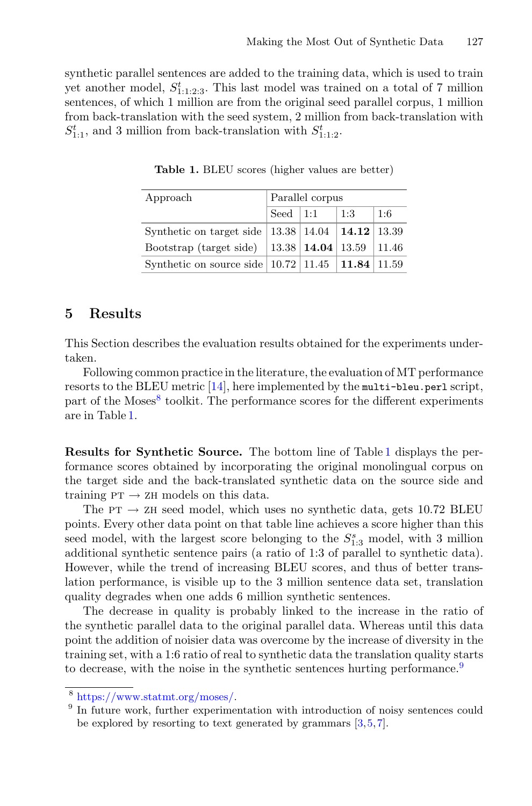synthetic parallel sentences are added to the training data, which is used to train yet another model, *S<sup>t</sup>* 1:1:2:3. This last model was trained on a total of 7 million sentences, of which 1 million are from the original seed parallel corpus, 1 million from back-translation with the seed system, 2 million from back-translation with  $S^t_{1:1}$ , and 3 million from back-translation with  $S^t_{1:1:2}$ .

| Approach                                                   | Parallel corpus |  |     |     |
|------------------------------------------------------------|-----------------|--|-----|-----|
|                                                            | Seed $ 1:1$     |  | 1:3 | 1:6 |
| Synthetic on target side $  13.38   14.04   14.12   13.39$ |                 |  |     |     |
| Bootstrap (target side) $ 13.38 14.04 13.59 11.46$         |                 |  |     |     |
| Synthetic on source side $ 10.72 11.45 11.84 11.59$        |                 |  |     |     |

<span id="page-6-2"></span>**Table 1.** BLEU scores (higher values are better)

#### <span id="page-6-0"></span>**5 Results**

This Section describes the evaluation results obtained for the experiments undertaken.

Following common practice in the literature, the evaluation of MT performance resorts to the BLEU metric  $[14]$  $[14]$ , here implemented by the multi-bleu.perl script, part of the Moses<sup>[8](#page-6-1)</sup> toolkit. The performance scores for the different experiments are in Table [1.](#page-6-2)

**Results for Synthetic Source.** The bottom line of Table [1](#page-6-2) displays the performance scores obtained by incorporating the original monolingual corpus on the target side and the back-translated synthetic data on the source side and training  $PT \rightarrow ZH$  models on this data.

The PT  $\rightarrow$  zH seed model, which uses no synthetic data, gets 10.72 BLEU points. Every other data point on that table line achieves a score higher than this seed model, with the largest score belonging to the  $S_{1:3}^s$  model, with 3 million additional synthetic sentence pairs (a ratio of 1:3 of parallel to synthetic data). However, while the trend of increasing BLEU scores, and thus of better translation performance, is visible up to the 3 million sentence data set, translation quality degrades when one adds 6 million synthetic sentences.

The decrease in quality is probably linked to the increase in the ratio of the synthetic parallel data to the original parallel data. Whereas until this data point the addition of noisier data was overcome by the increase of diversity in the training set, with a 1:6 ratio of real to synthetic data the translation quality starts to decrease, with the noise in the synthetic sentences hurting performance.<sup>[9](#page-6-3)</sup>

<span id="page-6-1"></span> $^8$ [https://www.statmt.org/moses/.](https://www.statmt.org/moses/)

<span id="page-6-3"></span><sup>&</sup>lt;sup>9</sup> In future work, further experimentation with introduction of noisy sentences could be explored by resorting to text generated by grammars  $[3,5,7]$  $[3,5,7]$  $[3,5,7]$  $[3,5,7]$  $[3,5,7]$  $[3,5,7]$ .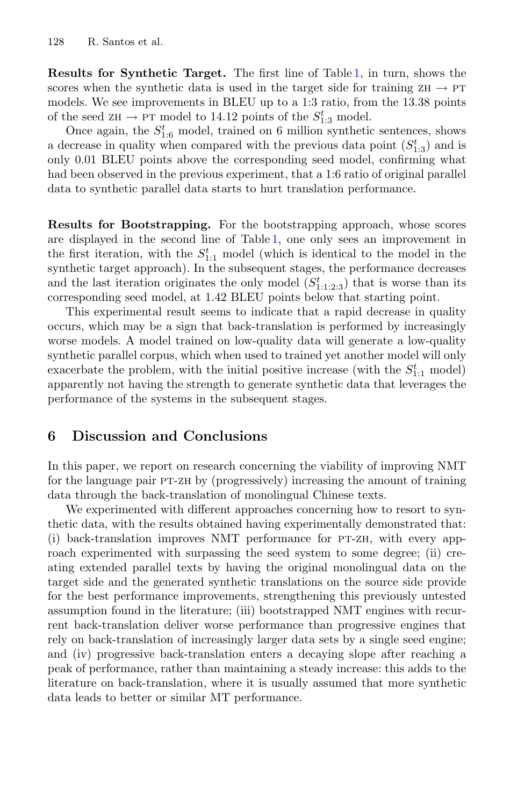**Results for Synthetic Target.** The first line of Table [1,](#page-6-2) in turn, shows the scores when the synthetic data is used in the target side for training  $ZH \rightarrow PT$ models. We see improvements in BLEU up to a 1:3 ratio, from the 13.38 points of the seed  $ZH \rightarrow PT$  model to 14.12 points of the  $S_{1,3}^t$  model.

Once again, the  $S_{1:6}^t$  model, trained on 6 million synthetic sentences, shows a decrease in quality when compared with the previous data point  $(S<sub>1:3</sub><sup>t</sup>)$  and is only 0.01 BLEU points above the corresponding seed model, confirming what had been observed in the previous experiment, that a 1:6 ratio of original parallel data to synthetic parallel data starts to hurt translation performance.

**Results for Bootstrapping.** For the bootstrapping approach, whose scores are displayed in the second line of Table [1,](#page-6-2) one only sees an improvement in the first iteration, with the  $S_{1:1}^t$  model (which is identical to the model in the synthetic target approach). In the subsequent stages, the performance decreases and the last iteration originates the only model  $(S^t_{1:1:2:3})$  that is worse than its corresponding seed model, at 1.42 BLEU points below that starting point.

This experimental result seems to indicate that a rapid decrease in quality occurs, which may be a sign that back-translation is performed by increasingly worse models. A model trained on low-quality data will generate a low-quality synthetic parallel corpus, which when used to trained yet another model will only exacerbate the problem, with the initial positive increase (with the  $S^t_{1:1}$  model) apparently not having the strength to generate synthetic data that leverages the performance of the systems in the subsequent stages.

### <span id="page-7-0"></span>**6 Discussion and Conclusions**

In this paper, we report on research concerning the viability of improving NMT for the language pair PT-ZH by (progressively) increasing the amount of training data through the back-translation of monolingual Chinese texts.

We experimented with different approaches concerning how to resort to synthetic data, with the results obtained having experimentally demonstrated that: (i) back-translation improves NMT performance for PT-ZH, with every approach experimented with surpassing the seed system to some degree; (ii) creating extended parallel texts by having the original monolingual data on the target side and the generated synthetic translations on the source side provide for the best performance improvements, strengthening this previously untested assumption found in the literature; (iii) bootstrapped NMT engines with recurrent back-translation deliver worse performance than progressive engines that rely on back-translation of increasingly larger data sets by a single seed engine; and (iv) progressive back-translation enters a decaying slope after reaching a peak of performance, rather than maintaining a steady increase: this adds to the literature on back-translation, where it is usually assumed that more synthetic data leads to better or similar MT performance.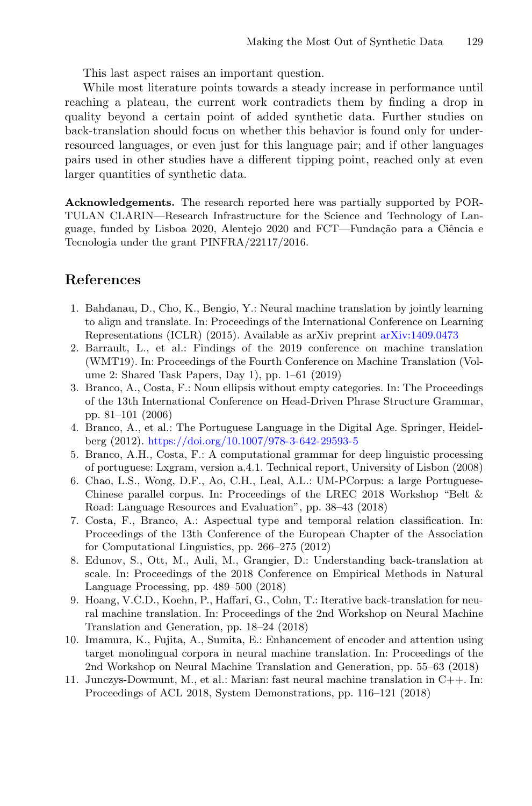This last aspect raises an important question.

While most literature points towards a steady increase in performance until reaching a plateau, the current work contradicts them by finding a drop in quality beyond a certain point of added synthetic data. Further studies on back-translation should focus on whether this behavior is found only for underresourced languages, or even just for this language pair; and if other languages pairs used in other studies have a different tipping point, reached only at even larger quantities of synthetic data.

**Acknowledgements.** The research reported here was partially supported by POR-TULAN CLARIN—Research Infrastructure for the Science and Technology of Language, funded by Lisboa 2020, Alentejo 2020 and FCT—Fundação para a Ciência e Tecnologia under the grant PINFRA/22117/2016.

### **References**

- <span id="page-8-6"></span>1. Bahdanau, D., Cho, K., Bengio, Y.: Neural machine translation by jointly learning to align and translate. In: Proceedings of the International Conference on Learning Representations (ICLR) (2015). Available as arXiv preprint [arXiv:1409.0473](http://arxiv.org/abs/1409.0473)
- <span id="page-8-5"></span>2. Barrault, L., et al.: Findings of the 2019 conference on machine translation (WMT19). In: Proceedings of the Fourth Conference on Machine Translation (Volume 2: Shared Task Papers, Day 1), pp. 1–61 (2019)
- <span id="page-8-8"></span>3. Branco, A., Costa, F.: Noun ellipsis without empty categories. In: The Proceedings of the 13th International Conference on Head-Driven Phrase Structure Grammar, pp. 81–101 (2006)
- <span id="page-8-0"></span>4. Branco, A., et al.: The Portuguese Language in the Digital Age. Springer, Heidelberg (2012). <https://doi.org/10.1007/978-3-642-29593-5>
- <span id="page-8-9"></span>5. Branco, A.H., Costa, F.: A computational grammar for deep linguistic processing of portuguese: Lxgram, version a.4.1. Technical report, University of Lisbon (2008)
- <span id="page-8-4"></span>6. Chao, L.S., Wong, D.F., Ao, C.H., Leal, A.L.: UM-PCorpus: a large Portuguese-Chinese parallel corpus. In: Proceedings of the LREC 2018 Workshop "Belt & Road: Language Resources and Evaluation", pp. 38–43 (2018)
- <span id="page-8-10"></span>7. Costa, F., Branco, A.: Aspectual type and temporal relation classification. In: Proceedings of the 13th Conference of the European Chapter of the Association for Computational Linguistics, pp. 266–275 (2012)
- <span id="page-8-1"></span>8. Edunov, S., Ott, M., Auli, M., Grangier, D.: Understanding back-translation at scale. In: Proceedings of the 2018 Conference on Empirical Methods in Natural Language Processing, pp. 489–500 (2018)
- <span id="page-8-3"></span>9. Hoang, V.C.D., Koehn, P., Haffari, G., Cohn, T.: Iterative back-translation for neural machine translation. In: Proceedings of the 2nd Workshop on Neural Machine Translation and Generation, pp. 18–24 (2018)
- <span id="page-8-2"></span>10. Imamura, K., Fujita, A., Sumita, E.: Enhancement of encoder and attention using target monolingual corpora in neural machine translation. In: Proceedings of the 2nd Workshop on Neural Machine Translation and Generation, pp. 55–63 (2018)
- <span id="page-8-7"></span>11. Junczys-Dowmunt, M., et al.: Marian: fast neural machine translation in C++. In: Proceedings of ACL 2018, System Demonstrations, pp. 116–121 (2018)